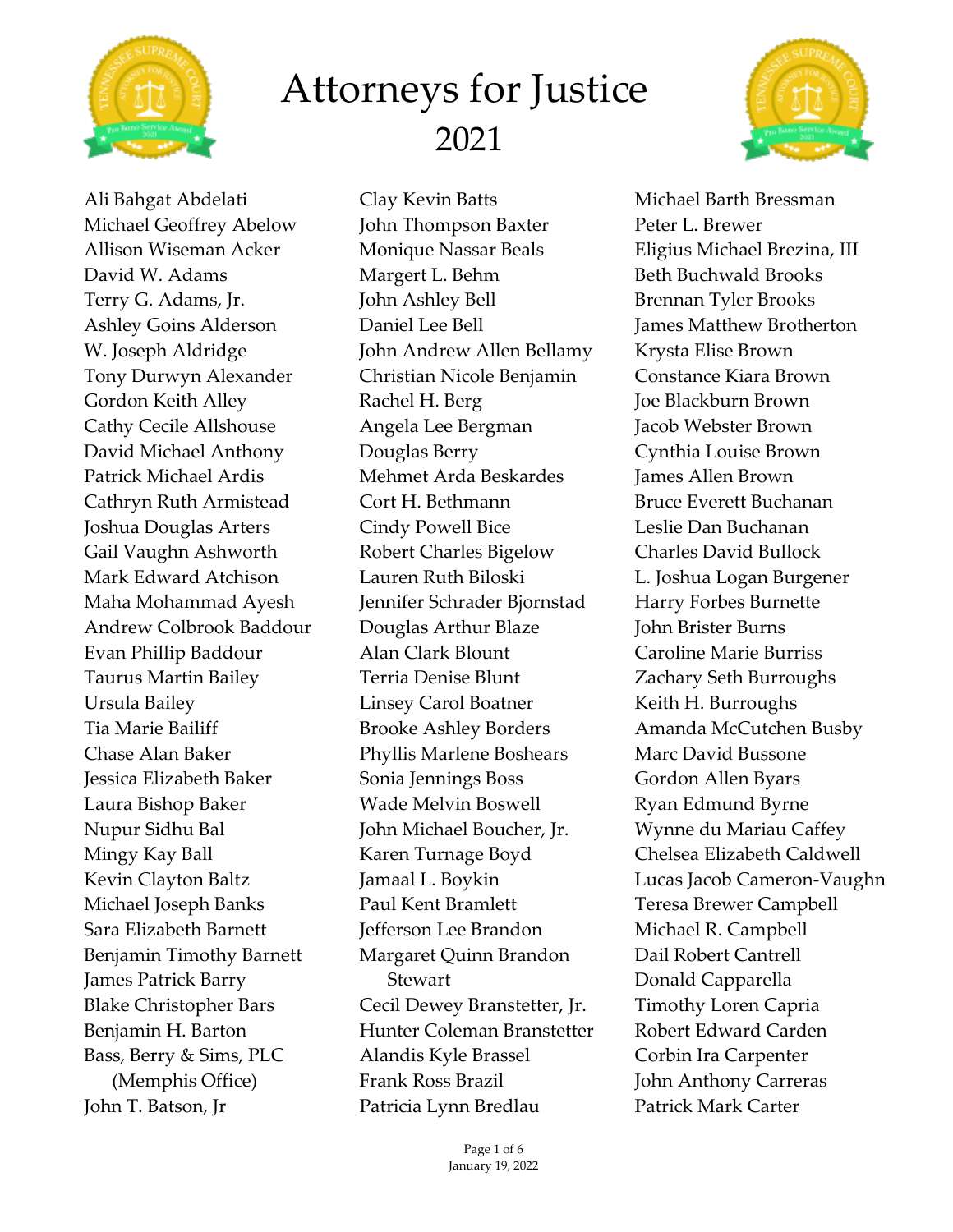



Clay Kevin Batts John Thompson Baxter Monique Nassar Beals Margert L. Behm John Ashley Bell Daniel Lee Bell John Andrew Allen Bellamy Christian Nicole Benjamin Rachel H. Berg Angela Lee Bergman Douglas Berry Mehmet Arda Beskardes Cort H. Bethmann Cindy Powell Bice Robert Charles Bigelow Lauren Ruth Biloski Jennifer Schrader Bjornstad Douglas Arthur Blaze Alan Clark Blount Terria Denise Blunt Linsey Carol Boatner Brooke Ashley Borders Phyllis Marlene Boshears Sonia Jennings Boss Wade Melvin Boswell John Michael Boucher, Jr. Karen Turnage Boyd Jamaal L. Boykin Paul Kent Bramlett Jefferson Lee Brandon Margaret Quinn Brandon Stewart Cecil Dewey Branstetter, Jr. Hunter Coleman Branstetter Alandis Kyle Brassel Frank Ross Brazil Patricia Lynn Bredlau



Michael Barth Bressman Peter L. Brewer Eligius Michael Brezina, III Beth Buchwald Brooks Brennan Tyler Brooks James Matthew Brotherton Krysta Elise Brown Constance Kiara Brown Joe Blackburn Brown Jacob Webster Brown Cynthia Louise Brown James Allen Brown Bruce Everett Buchanan Leslie Dan Buchanan Charles David Bullock L. Joshua Logan Burgener Harry Forbes Burnette John Brister Burns Caroline Marie Burriss Zachary Seth Burroughs Keith H. Burroughs Amanda McCutchen Busby Marc David Bussone Gordon Allen Byars Ryan Edmund Byrne Wynne du Mariau Caffey Chelsea Elizabeth Caldwell Lucas Jacob Cameron-Vaughn Teresa Brewer Campbell Michael R. Campbell Dail Robert Cantrell Donald Capparella Timothy Loren Capria Robert Edward Carden Corbin Ira Carpenter John Anthony Carreras Patrick Mark Carter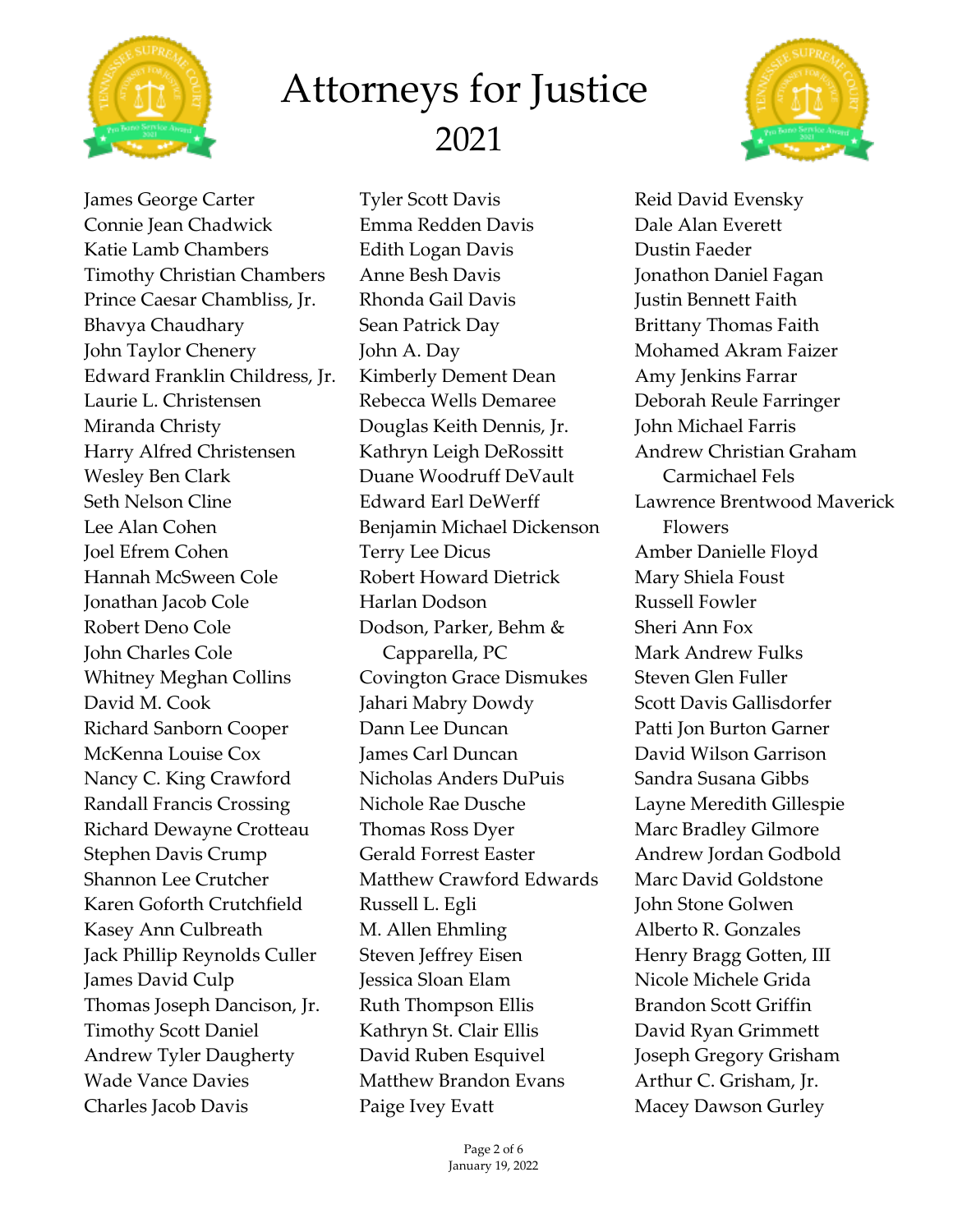



James George Carter Connie Jean Chadwick Katie Lamb Chambers Timothy Christian Chambers Prince Caesar Chambliss, Jr. Bhavya Chaudhary John Taylor Chenery Edward Franklin Childress, Jr. Laurie L. Christensen Miranda Christy Harry Alfred Christensen Wesley Ben Clark Seth Nelson Cline Lee Alan Cohen Joel Efrem Cohen Hannah McSween Cole Jonathan Jacob Cole Robert Deno Cole John Charles Cole Whitney Meghan Collins David M. Cook Richard Sanborn Cooper McKenna Louise Cox Nancy C. King Crawford Randall Francis Crossing Richard Dewayne Crotteau Stephen Davis Crump Shannon Lee Crutcher Karen Goforth Crutchfield Kasey Ann Culbreath Jack Phillip Reynolds Culler James David Culp Thomas Joseph Dancison, Jr. Timothy Scott Daniel Andrew Tyler Daugherty Wade Vance Davies Charles Jacob Davis

Tyler Scott Davis Emma Redden Davis Edith Logan Davis Anne Besh Davis Rhonda Gail Davis Sean Patrick Day John A. Day Kimberly Dement Dean Rebecca Wells Demaree Douglas Keith Dennis, Jr. Kathryn Leigh DeRossitt Duane Woodruff DeVault Edward Earl DeWerff Benjamin Michael Dickenson Terry Lee Dicus Robert Howard Dietrick Harlan Dodson Dodson, Parker, Behm & Capparella, PC Covington Grace Dismukes Jahari Mabry Dowdy Dann Lee Duncan James Carl Duncan Nicholas Anders DuPuis Nichole Rae Dusche Thomas Ross Dyer Gerald Forrest Easter Matthew Crawford Edwards Russell L. Egli M. Allen Ehmling Steven Jeffrey Eisen Jessica Sloan Elam Ruth Thompson Ellis Kathryn St. Clair Ellis David Ruben Esquivel Matthew Brandon Evans Paige Ivey Evatt

Reid David Evensky Dale Alan Everett Dustin Faeder Jonathon Daniel Fagan Justin Bennett Faith Brittany Thomas Faith Mohamed Akram Faizer Amy Jenkins Farrar Deborah Reule Farringer John Michael Farris Andrew Christian Graham Carmichael Fels Lawrence Brentwood Maverick Flowers Amber Danielle Floyd Mary Shiela Foust Russell Fowler Sheri Ann Fox Mark Andrew Fulks Steven Glen Fuller Scott Davis Gallisdorfer Patti Jon Burton Garner David Wilson Garrison Sandra Susana Gibbs Layne Meredith Gillespie Marc Bradley Gilmore Andrew Jordan Godbold Marc David Goldstone John Stone Golwen Alberto R. Gonzales Henry Bragg Gotten, III Nicole Michele Grida Brandon Scott Griffin David Ryan Grimmett Joseph Gregory Grisham Arthur C. Grisham, Jr. Macey Dawson Gurley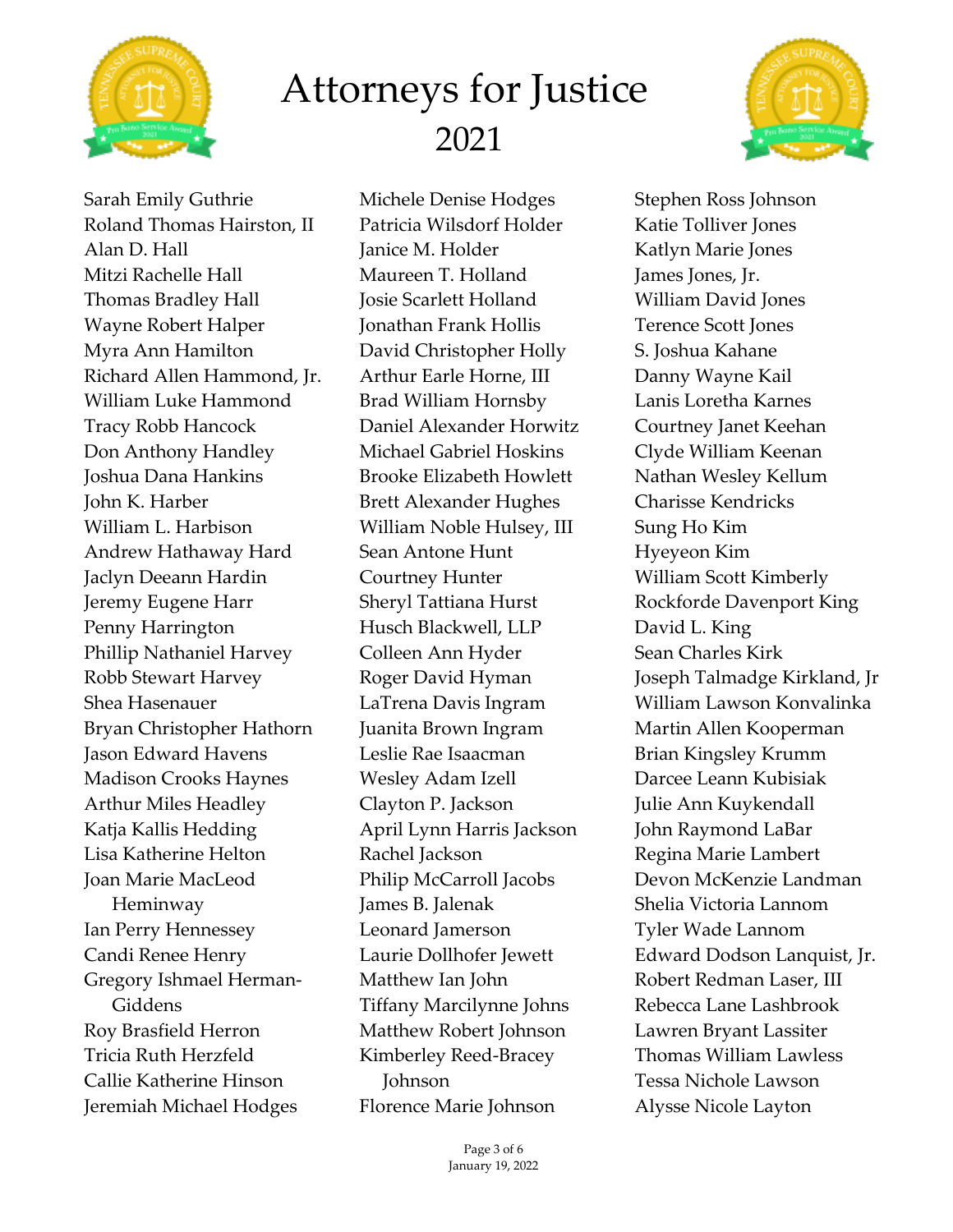



Sarah Emily Guthrie Roland Thomas Hairston, II Alan D. Hall Mitzi Rachelle Hall Thomas Bradley Hall Wayne Robert Halper Myra Ann Hamilton Richard Allen Hammond, Jr. William Luke Hammond Tracy Robb Hancock Don Anthony Handley Joshua Dana Hankins John K. Harber William L. Harbison Andrew Hathaway Hard Jaclyn Deeann Hardin Jeremy Eugene Harr Penny Harrington Phillip Nathaniel Harvey Robb Stewart Harvey Shea Hasenauer Bryan Christopher Hathorn Jason Edward Havens Madison Crooks Haynes Arthur Miles Headley Katja Kallis Hedding Lisa Katherine Helton Joan Marie MacLeod Heminway Ian Perry Hennessey Candi Renee Henry Gregory Ishmael Herman-Giddens Roy Brasfield Herron Tricia Ruth Herzfeld Callie Katherine Hinson Jeremiah Michael Hodges

Michele Denise Hodges Patricia Wilsdorf Holder Janice M. Holder Maureen T. Holland Josie Scarlett Holland Jonathan Frank Hollis David Christopher Holly Arthur Earle Horne, III Brad William Hornsby Daniel Alexander Horwitz Michael Gabriel Hoskins Brooke Elizabeth Howlett Brett Alexander Hughes William Noble Hulsey, III Sean Antone Hunt Courtney Hunter Sheryl Tattiana Hurst Husch Blackwell, LLP Colleen Ann Hyder Roger David Hyman LaTrena Davis Ingram Juanita Brown Ingram Leslie Rae Isaacman Wesley Adam Izell Clayton P. Jackson April Lynn Harris Jackson Rachel Jackson Philip McCarroll Jacobs James B. Jalenak Leonard Jamerson Laurie Dollhofer Jewett Matthew Ian John Tiffany Marcilynne Johns Matthew Robert Johnson Kimberley Reed-Bracey Johnson Florence Marie Johnson

> Page 3 of 6 January 19, 2022

Stephen Ross Johnson Katie Tolliver Jones Katlyn Marie Jones James Jones, Jr. William David Jones Terence Scott Jones S. Joshua Kahane Danny Wayne Kail Lanis Loretha Karnes Courtney Janet Keehan Clyde William Keenan Nathan Wesley Kellum Charisse Kendricks Sung Ho Kim Hyeyeon Kim William Scott Kimberly Rockforde Davenport King David L. King Sean Charles Kirk Joseph Talmadge Kirkland, Jr William Lawson Konvalinka Martin Allen Kooperman Brian Kingsley Krumm Darcee Leann Kubisiak Julie Ann Kuykendall John Raymond LaBar Regina Marie Lambert Devon McKenzie Landman Shelia Victoria Lannom Tyler Wade Lannom Edward Dodson Lanquist, Jr. Robert Redman Laser, III Rebecca Lane Lashbrook Lawren Bryant Lassiter Thomas William Lawless Tessa Nichole Lawson Alysse Nicole Layton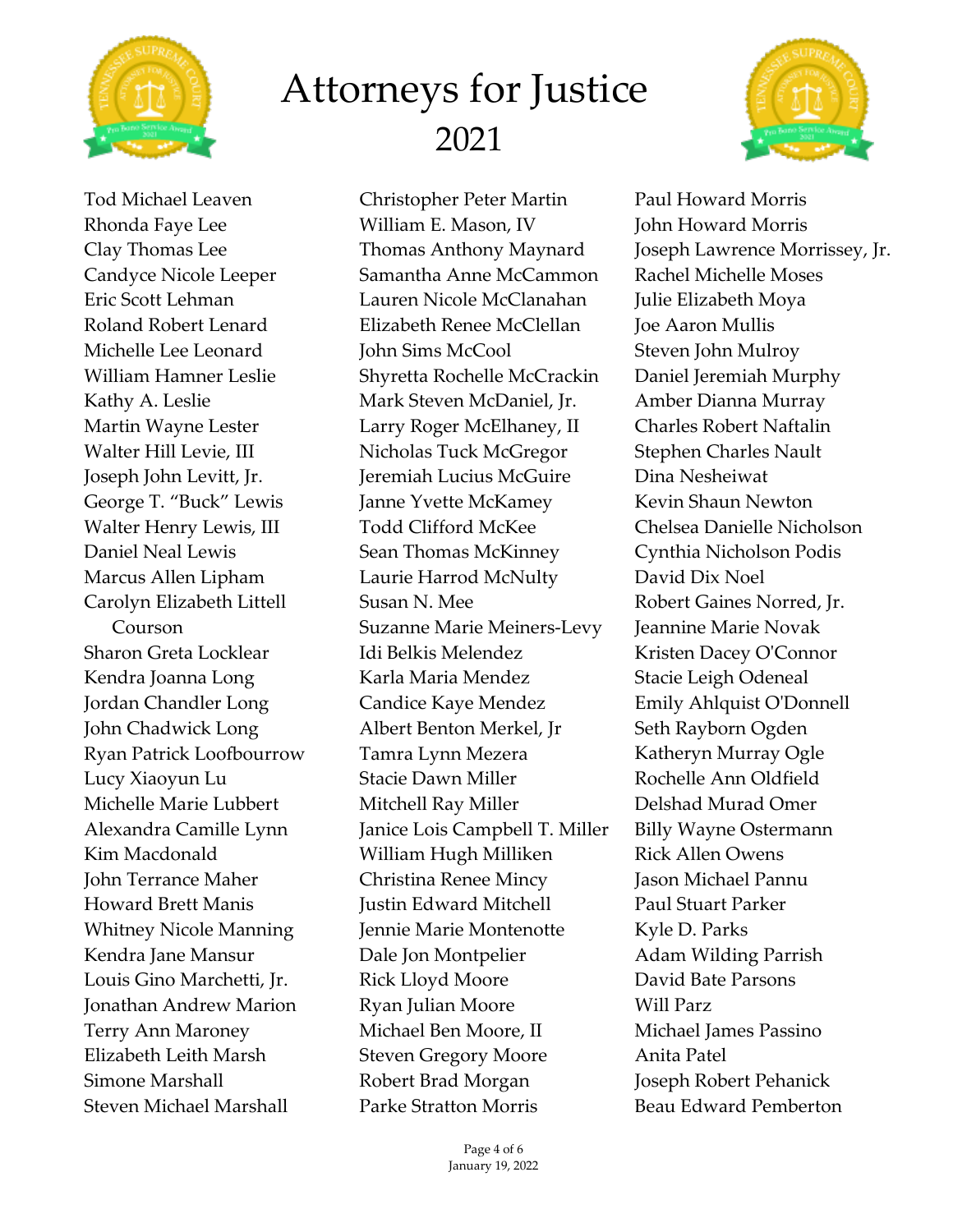

Tod Michael Leaven Rhonda Faye Lee Clay Thomas Lee Candyce Nicole Leeper Eric Scott Lehman Roland Robert Lenard Michelle Lee Leonard William Hamner Leslie Kathy A. Leslie Martin Wayne Lester Walter Hill Levie, III Joseph John Levitt, Jr. George T. "Buck" Lewis Walter Henry Lewis, III Daniel Neal Lewis Marcus Allen Lipham Carolyn Elizabeth Littell Courson Sharon Greta Locklear Kendra Joanna Long Jordan Chandler Long John Chadwick Long Ryan Patrick Loofbourrow Lucy Xiaoyun Lu Michelle Marie Lubbert Alexandra Camille Lynn Kim Macdonald John Terrance Maher Howard Brett Manis Whitney Nicole Manning Kendra Jane Mansur Louis Gino Marchetti, Jr. Jonathan Andrew Marion Terry Ann Maroney Elizabeth Leith Marsh Simone Marshall Steven Michael Marshall

Christopher Peter Martin William E. Mason, IV Thomas Anthony Maynard Samantha Anne McCammon Lauren Nicole McClanahan Elizabeth Renee McClellan John Sims McCool Shyretta Rochelle McCrackin Mark Steven McDaniel, Jr. Larry Roger McElhaney, II Nicholas Tuck McGregor Jeremiah Lucius McGuire Janne Yvette McKamey Todd Clifford McKee Sean Thomas McKinney Laurie Harrod McNulty Susan N. Mee Suzanne Marie Meiners-Levy Idi Belkis Melendez Karla Maria Mendez Candice Kaye Mendez Albert Benton Merkel, Jr Tamra Lynn Mezera Stacie Dawn Miller Mitchell Ray Miller Janice Lois Campbell T. Miller William Hugh Milliken Christina Renee Mincy Justin Edward Mitchell Jennie Marie Montenotte Dale Jon Montpelier Rick Lloyd Moore Ryan Julian Moore Michael Ben Moore, II Steven Gregory Moore Robert Brad Morgan Parke Stratton Morris



Paul Howard Morris John Howard Morris Joseph Lawrence Morrissey, Jr. Rachel Michelle Moses Julie Elizabeth Moya Joe Aaron Mullis Steven John Mulroy Daniel Jeremiah Murphy Amber Dianna Murray Charles Robert Naftalin Stephen Charles Nault Dina Nesheiwat Kevin Shaun Newton Chelsea Danielle Nicholson Cynthia Nicholson Podis David Dix Noel Robert Gaines Norred, Jr. Jeannine Marie Novak Kristen Dacey O'Connor Stacie Leigh Odeneal Emily Ahlquist O'Donnell Seth Rayborn Ogden Katheryn Murray Ogle Rochelle Ann Oldfield Delshad Murad Omer Billy Wayne Ostermann Rick Allen Owens Jason Michael Pannu Paul Stuart Parker Kyle D. Parks Adam Wilding Parrish David Bate Parsons Will Parz Michael James Passino Anita Patel Joseph Robert Pehanick Beau Edward Pemberton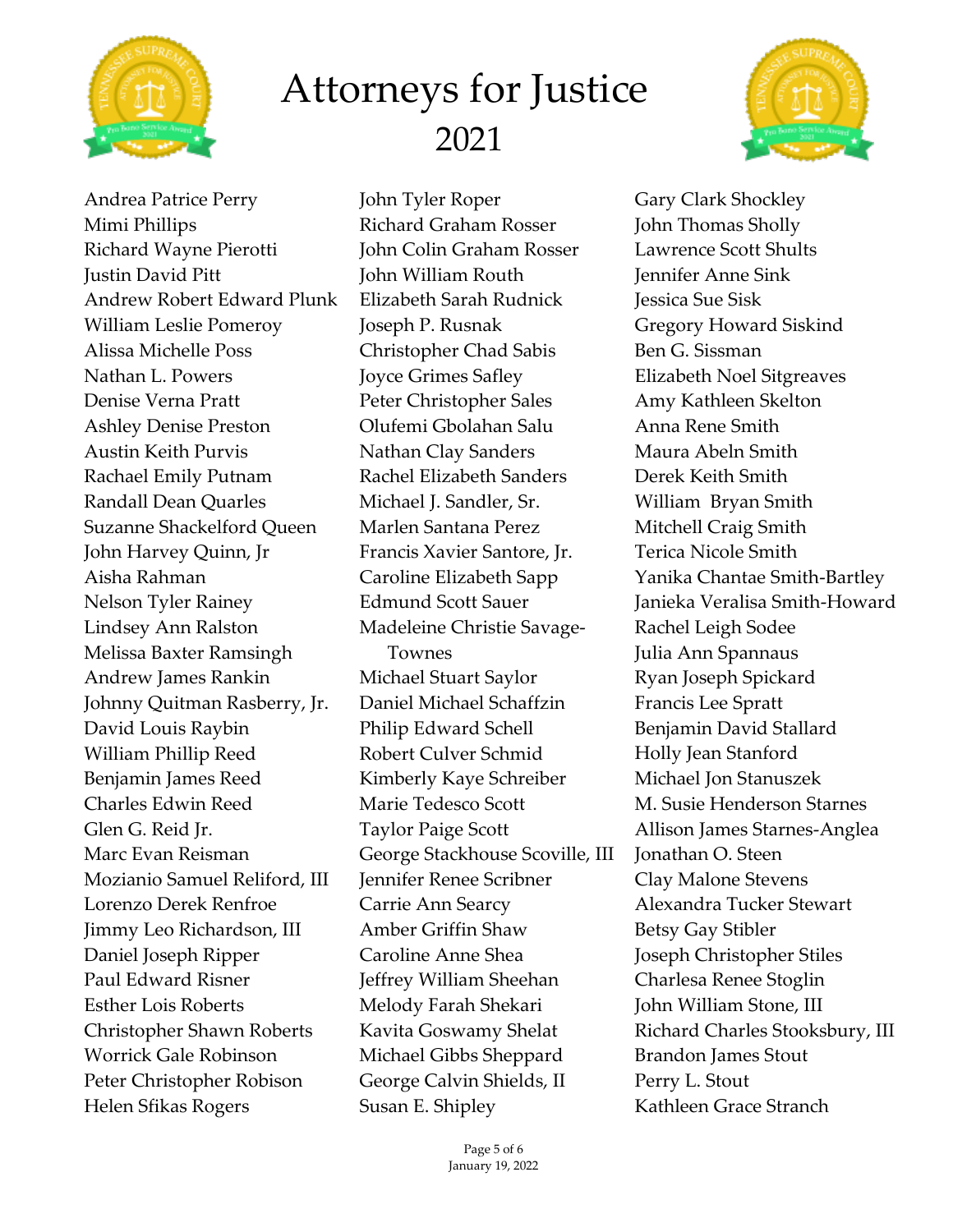



Andrea Patrice Perry Mimi Phillips Richard Wayne Pierotti Justin David Pitt Andrew Robert Edward Plunk William Leslie Pomeroy Alissa Michelle Poss Nathan L. Powers Denise Verna Pratt Ashley Denise Preston Austin Keith Purvis Rachael Emily Putnam Randall Dean Quarles Suzanne Shackelford Queen John Harvey Quinn, Jr Aisha Rahman Nelson Tyler Rainey Lindsey Ann Ralston Melissa Baxter Ramsingh Andrew James Rankin Johnny Quitman Rasberry, Jr. David Louis Raybin William Phillip Reed Benjamin James Reed Charles Edwin Reed Glen G. Reid Jr. Marc Evan Reisman Mozianio Samuel Reliford, III Lorenzo Derek Renfroe Jimmy Leo Richardson, III Daniel Joseph Ripper Paul Edward Risner Esther Lois Roberts Christopher Shawn Roberts Worrick Gale Robinson Peter Christopher Robison Helen Sfikas Rogers

John Tyler Roper Richard Graham Rosser John Colin Graham Rosser John William Routh Elizabeth Sarah Rudnick Joseph P. Rusnak Christopher Chad Sabis Joyce Grimes Safley Peter Christopher Sales Olufemi Gbolahan Salu Nathan Clay Sanders Rachel Elizabeth Sanders Michael J. Sandler, Sr. Marlen Santana Perez Francis Xavier Santore, Jr. Caroline Elizabeth Sapp Edmund Scott Sauer Madeleine Christie Savage-Townes Michael Stuart Saylor Daniel Michael Schaffzin Philip Edward Schell Robert Culver Schmid Kimberly Kaye Schreiber Marie Tedesco Scott Taylor Paige Scott George Stackhouse Scoville, III Jennifer Renee Scribner Carrie Ann Searcy Amber Griffin Shaw Caroline Anne Shea Jeffrey William Sheehan Melody Farah Shekari Kavita Goswamy Shelat Michael Gibbs Sheppard George Calvin Shields, II Susan E. Shipley

Gary Clark Shockley John Thomas Sholly Lawrence Scott Shults Jennifer Anne Sink Jessica Sue Sisk Gregory Howard Siskind Ben G. Sissman Elizabeth Noel Sitgreaves Amy Kathleen Skelton Anna Rene Smith Maura Abeln Smith Derek Keith Smith William Bryan Smith Mitchell Craig Smith Terica Nicole Smith Yanika Chantae Smith-Bartley Janieka Veralisa Smith-Howard Rachel Leigh Sodee Julia Ann Spannaus Ryan Joseph Spickard Francis Lee Spratt Benjamin David Stallard Holly Jean Stanford Michael Jon Stanuszek M. Susie Henderson Starnes Allison James Starnes-Anglea Jonathan O. Steen Clay Malone Stevens Alexandra Tucker Stewart Betsy Gay Stibler Joseph Christopher Stiles Charlesa Renee Stoglin John William Stone, III Richard Charles Stooksbury, III Brandon James Stout Perry L. Stout Kathleen Grace Stranch